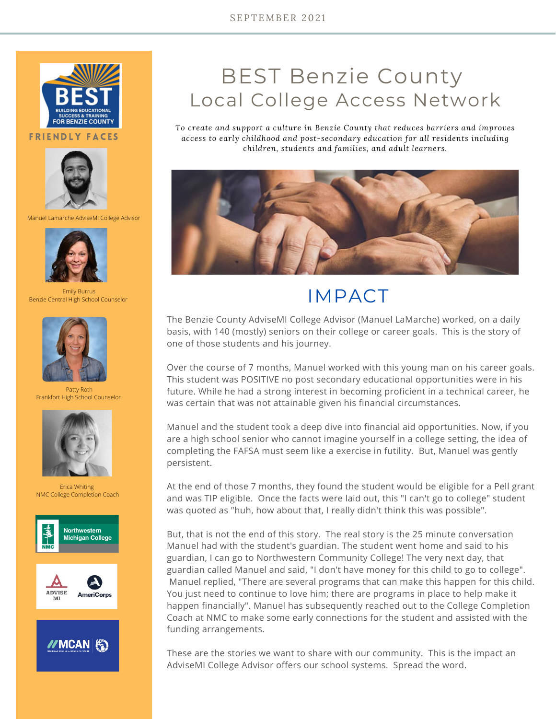

FRIENDLY FACES



Manuel Lamarche AdviseMI College Advisor



Emily Burrus Benzie Central High School Counselor



Patty Roth Frankfort High School Counselor



Erica Whiting NMC College Completion Coach





## BEST Benzie County Local College Access Network

*To create and support a culture in Benzie County that reduces barriers and improves access to early childhood and post-secondary education for all residents including children, students and families, and adult learners.*



## IMPACT

The Benzie County AdviseMI College Advisor (Manuel LaMarche) worked, on a daily basis, with 140 (mostly) seniors on their college or career goals. This is the story of one of those students and his journey.

Over the course of 7 months, Manuel worked with this young man on his career goals. This student was POSITIVE no post secondary educational opportunities were in his future. While he had a strong interest in becoming proficient in a technical career, he was certain that was not attainable given his financial circumstances.

Manuel and the student took a deep dive into financial aid opportunities. Now, if you are a high school senior who cannot imagine yourself in a college setting, the idea of completing the FAFSA must seem like a exercise in futility. But, Manuel was gently persistent.

At the end of those 7 months, they found the student would be eligible for a Pell grant and was TIP eligible. Once the facts were laid out, this "I can't go to college" student was quoted as "huh, how about that, I really didn't think this was possible".

But, that is not the end of this story. The real story is the 25 minute conversation Manuel had with the student's guardian. The student went home and said to his guardian, I can go to Northwestern Community College! The very next day, that guardian called Manuel and said, "I don't have money for this child to go to college". Manuel replied, "There are several programs that can make this happen for this child. You just need to continue to love him; there are programs in place to help make it happen financially". Manuel has subsequently reached out to the College Completion Coach at NMC to make some early connections for the student and assisted with the funding arrangements.

These are the stories we want to share with our community. This is the impact an AdviseMI College Advisor offers our school systems. Spread the word.